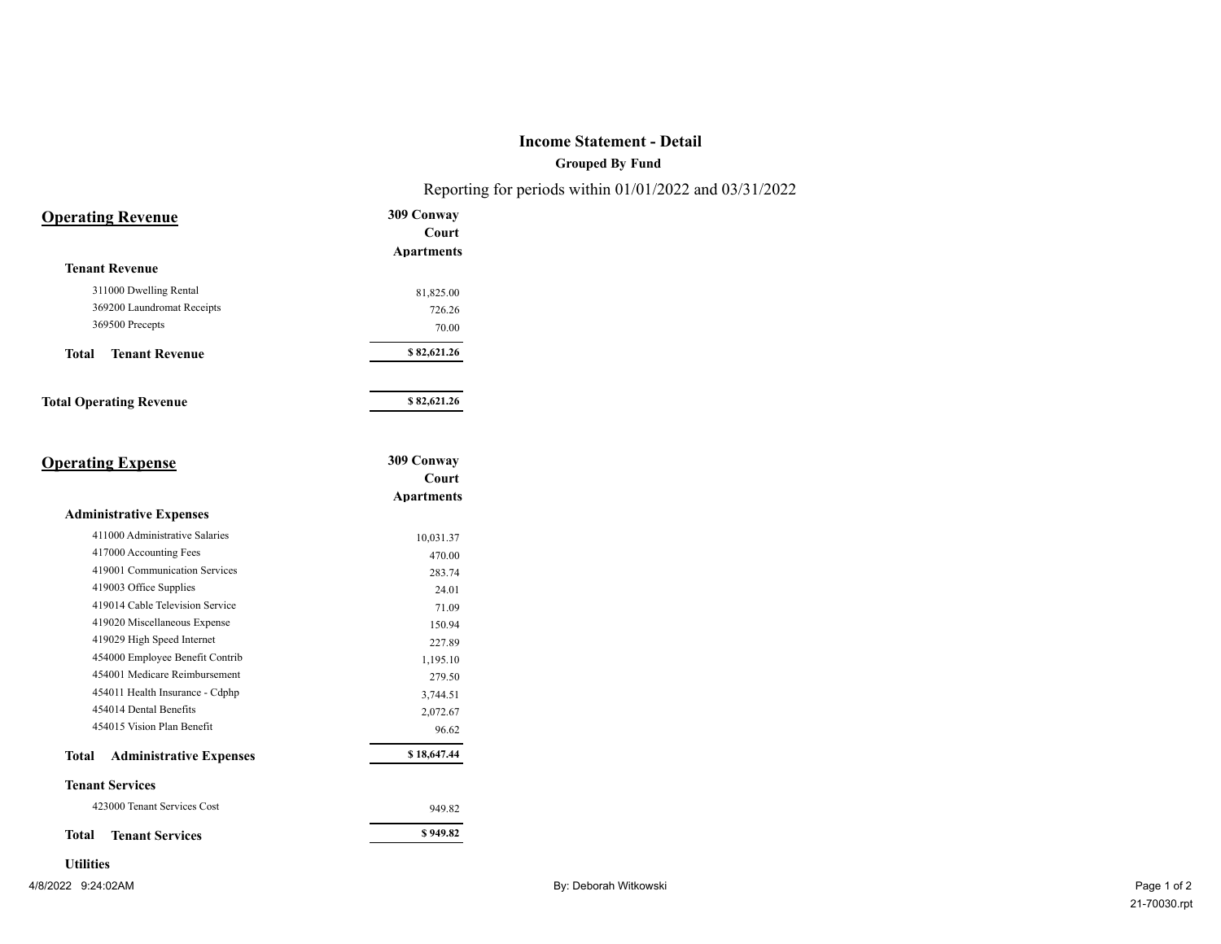## **Income Statement - Detail**

**Grouped By Fund**

Reporting for periods within 01/01/2022 and 03/31/2022

| <b>Operating Revenue</b>                       | 309 Conway<br>Court |
|------------------------------------------------|---------------------|
|                                                | <b>Apartments</b>   |
| <b>Tenant Revenue</b>                          |                     |
| 311000 Dwelling Rental                         |                     |
| 369200 Laundromat Receipts                     | 81,825.00           |
| 369500 Precepts                                | 726.26<br>70.00     |
|                                                |                     |
| <b>Tenant Revenue</b><br><b>Total</b>          | \$82,621.26         |
| <b>Total Operating Revenue</b>                 | \$82,621.26         |
|                                                |                     |
| <b>Operating Expense</b>                       | 309 Conway          |
|                                                | Court               |
|                                                | <b>Apartments</b>   |
| <b>Administrative Expenses</b>                 |                     |
| 411000 Administrative Salaries                 | 10,031.37           |
| 417000 Accounting Fees                         | 470.00              |
| 419001 Communication Services                  | 283.74              |
| 419003 Office Supplies                         | 24.01               |
| 419014 Cable Television Service                | 71.09               |
| 419020 Miscellaneous Expense                   | 150.94              |
| 419029 High Speed Internet                     | 227.89              |
| 454000 Employee Benefit Contrib                | 1,195.10            |
| 454001 Medicare Reimbursement                  | 279.50              |
| 454011 Health Insurance - Cdphp                | 3,744.51            |
| 454014 Dental Benefits                         | 2,072.67            |
| 454015 Vision Plan Benefit                     | 96.62               |
| <b>Total</b><br><b>Administrative Expenses</b> | \$18,647.44         |
| <b>Tenant Services</b>                         |                     |
| 423000 Tenant Services Cost                    | 949.82              |
|                                                |                     |